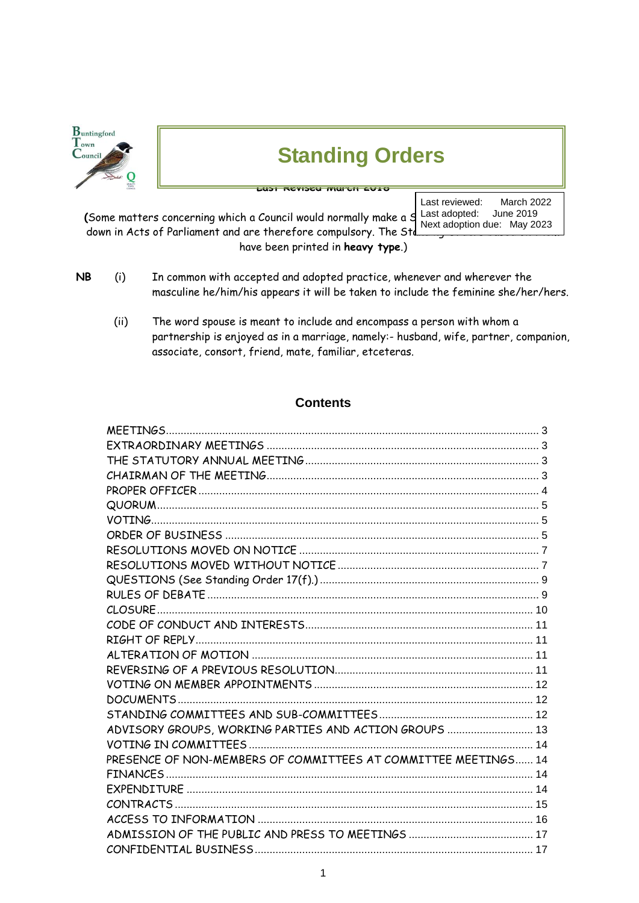| <b>B</b> untingford<br>$T_{own}$<br>$C_{\text{ounce}}$ | <b>Standing Orders</b>                                                                                                                                                     |                                                                                           |
|--------------------------------------------------------|----------------------------------------------------------------------------------------------------------------------------------------------------------------------------|-------------------------------------------------------------------------------------------|
|                                                        | (Some matters concerning which a Council would normally make a S<br>down in Acts of Parliament and are therefore compulsory. The Std.<br>have been printed in heavy type.) | Last reviewed:<br>March 2022<br>June 2019<br>Last adopted:<br>Next adoption due: May 2023 |

- **NB** (i) In common with accepted and adopted practice, whenever and wherever the masculine he/him/his appears it will be taken to include the feminine she/her/hers.
	- (ii) The word spouse is meant to include and encompass a person with whom a partnership is enjoyed as in a marriage, namely:- husband, wife, partner, companion, associate, consort, friend, mate, familiar, etceteras.

## **Contents**

| ADVISORY GROUPS, WORKING PARTIES AND ACTION GROUPS  13         |  |
|----------------------------------------------------------------|--|
|                                                                |  |
| PRESENCE OF NON-MEMBERS OF COMMITTEES AT COMMITTEE MEETINGS 14 |  |
|                                                                |  |
|                                                                |  |
|                                                                |  |
|                                                                |  |
|                                                                |  |
|                                                                |  |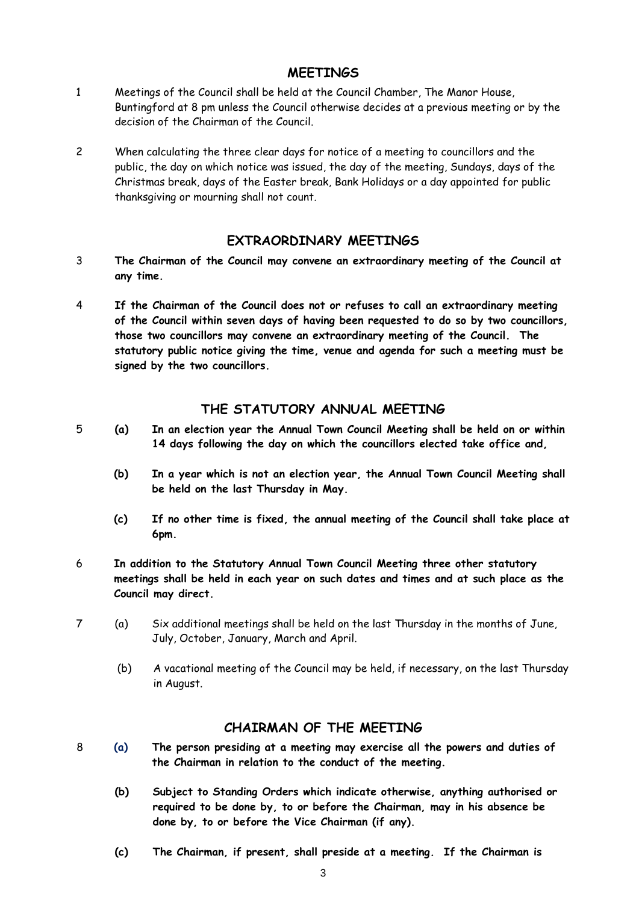### **MEETINGS**

- <span id="page-2-0"></span>1 Meetings of the Council shall be held at the Council Chamber, The Manor House, Buntingford at 8 pm unless the Council otherwise decides at a previous meeting or by the decision of the Chairman of the Council.
- 2 When calculating the three clear days for notice of a meeting to councillors and the public, the day on which notice was issued, the day of the meeting, Sundays, days of the Christmas break, days of the Easter break, Bank Holidays or a day appointed for public thanksgiving or mourning shall not count.

### **EXTRAORDINARY MEETINGS**

- <span id="page-2-1"></span>3 **The Chairman of the Council may convene an extraordinary meeting of the Council at any time.**
- 4 **If the Chairman of the Council does not or refuses to call an extraordinary meeting of the Council within seven days of having been requested to do so by two councillors, those two councillors may convene an extraordinary meeting of the Council. The statutory public notice giving the time, venue and agenda for such a meeting must be signed by the two councillors.**

### **THE STATUTORY ANNUAL MEETING**

- <span id="page-2-2"></span>5 **(a) In an election year the Annual Town Council Meeting shall be held on or within 14 days following the day on which the councillors elected take office and,**
	- **(b) In a year which is not an election year, the Annual Town Council Meeting shall be held on the last Thursday in May.**
	- **(c) If no other time is fixed, the annual meeting of the Council shall take place at 6pm.**
- 6 **In addition to the Statutory Annual Town Council Meeting three other statutory meetings shall be held in each year on such dates and times and at such place as the Council may direct.**
- 7 (a) Six additional meetings shall be held on the last Thursday in the months of June, July, October, January, March and April.
	- (b) A vacational meeting of the Council may be held, if necessary, on the last Thursday in August.

#### **CHAIRMAN OF THE MEETING**

- <span id="page-2-3"></span>8 **(a) The person presiding at a meeting may exercise all the powers and duties of the Chairman in relation to the conduct of the meeting.**
	- **(b) Subject to Standing Orders which indicate otherwise, anything authorised or required to be done by, to or before the Chairman, may in his absence be done by, to or before the Vice Chairman (if any).**
	- **(c) The Chairman, if present, shall preside at a meeting. If the Chairman is**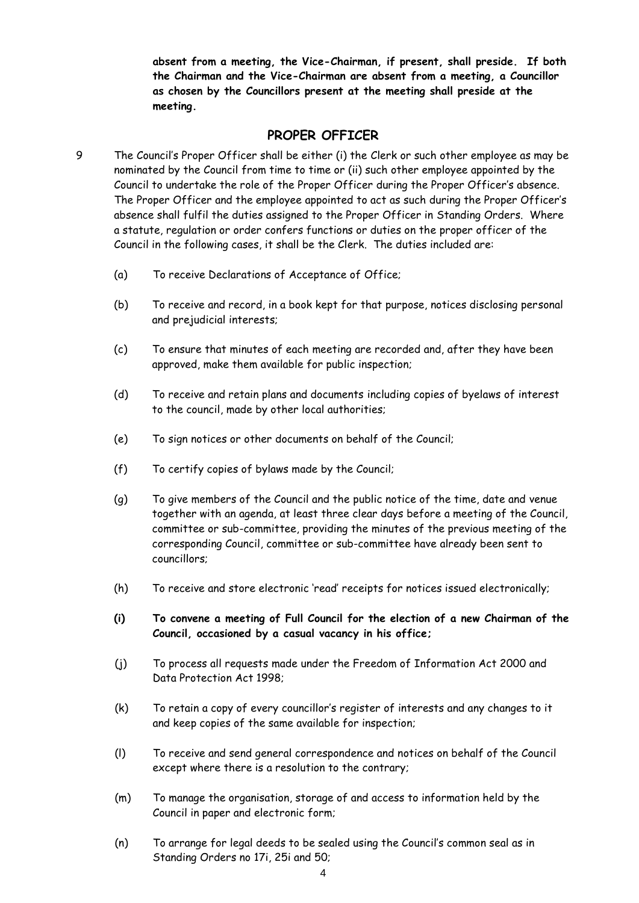**absent from a meeting, the Vice-Chairman, if present, shall preside. If both the Chairman and the Vice-Chairman are absent from a meeting, a Councillor as chosen by the Councillors present at the meeting shall preside at the meeting.**

#### **PROPER OFFICER**

- <span id="page-3-0"></span>9 The Council's Proper Officer shall be either (i) the Clerk or such other employee as may be nominated by the Council from time to time or (ii) such other employee appointed by the Council to undertake the role of the Proper Officer during the Proper Officer's absence. The Proper Officer and the employee appointed to act as such during the Proper Officer's absence shall fulfil the duties assigned to the Proper Officer in Standing Orders. Where a statute, regulation or order confers functions or duties on the proper officer of the Council in the following cases, it shall be the Clerk. The duties included are:
	- (a) To receive Declarations of Acceptance of Office;
	- (b) To receive and record, in a book kept for that purpose, notices disclosing personal and prejudicial interests;
	- (c) To ensure that minutes of each meeting are recorded and, after they have been approved, make them available for public inspection;
	- (d) To receive and retain plans and documents including copies of byelaws of interest to the council, made by other local authorities;
	- (e) To sign notices or other documents on behalf of the Council;
	- (f) To certify copies of bylaws made by the Council;
	- (g) To give members of the Council and the public notice of the time, date and venue together with an agenda, at least three clear days before a meeting of the Council, committee or sub-committee, providing the minutes of the previous meeting of the corresponding Council, committee or sub-committee have already been sent to councillors;
	- (h) To receive and store electronic 'read' receipts for notices issued electronically;
	- **(i) To convene a meeting of Full Council for the election of a new Chairman of the Council, occasioned by a casual vacancy in his office;**
	- (j) To process all requests made under the Freedom of Information Act 2000 and Data Protection Act 1998;
	- (k) To retain a copy of every councillor's register of interests and any changes to it and keep copies of the same available for inspection;
	- (l) To receive and send general correspondence and notices on behalf of the Council except where there is a resolution to the contrary;
	- (m) To manage the organisation, storage of and access to information held by the Council in paper and electronic form;
	- (n) To arrange for legal deeds to be sealed using the Council's common seal as in Standing Orders no 17i, 25i and 50;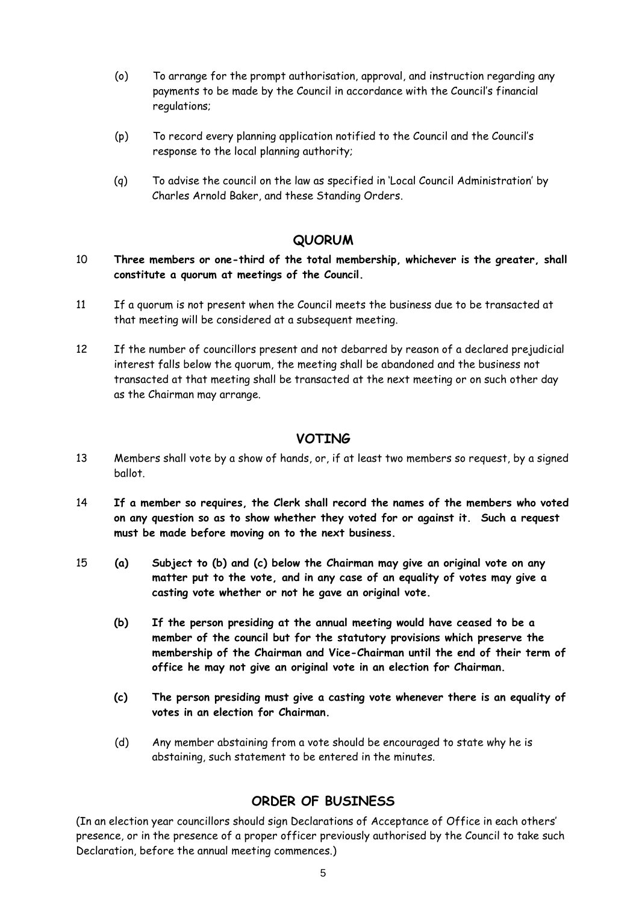- (o) To arrange for the prompt authorisation, approval, and instruction regarding any payments to be made by the Council in accordance with the Council's financial regulations;
- (p) To record every planning application notified to the Council and the Council's response to the local planning authority;
- (q) To advise the council on the law as specified in 'Local Council Administration' by Charles Arnold Baker, and these Standing Orders.

#### **QUORUM**

#### <span id="page-4-0"></span>10 **Three members or one-third of the total membership, whichever is the greater, shall constitute a quorum at meetings of the Council.**

- 11 If a quorum is not present when the Council meets the business due to be transacted at that meeting will be considered at a subsequent meeting.
- 12 If the number of councillors present and not debarred by reason of a declared prejudicial interest falls below the quorum, the meeting shall be abandoned and the business not transacted at that meeting shall be transacted at the next meeting or on such other day as the Chairman may arrange.

#### **VOTING**

- <span id="page-4-1"></span>13 Members shall vote by a show of hands, or, if at least two members so request, by a signed ballot.
- 14 **If a member so requires, the Clerk shall record the names of the members who voted on any question so as to show whether they voted for or against it. Such a request must be made before moving on to the next business.**
- 15 **(a) Subject to (b) and (c) below the Chairman may give an original vote on any matter put to the vote, and in any case of an equality of votes may give a casting vote whether or not he gave an original vote.**
	- **(b) If the person presiding at the annual meeting would have ceased to be a member of the council but for the statutory provisions which preserve the membership of the Chairman and Vice-Chairman until the end of their term of office he may not give an original vote in an election for Chairman.**
	- **(c) The person presiding must give a casting vote whenever there is an equality of votes in an election for Chairman.**
	- (d) Any member abstaining from a vote should be encouraged to state why he is abstaining, such statement to be entered in the minutes.

#### **ORDER OF BUSINESS**

<span id="page-4-2"></span>(In an election year councillors should sign Declarations of Acceptance of Office in each others' presence, or in the presence of a proper officer previously authorised by the Council to take such Declaration, before the annual meeting commences.)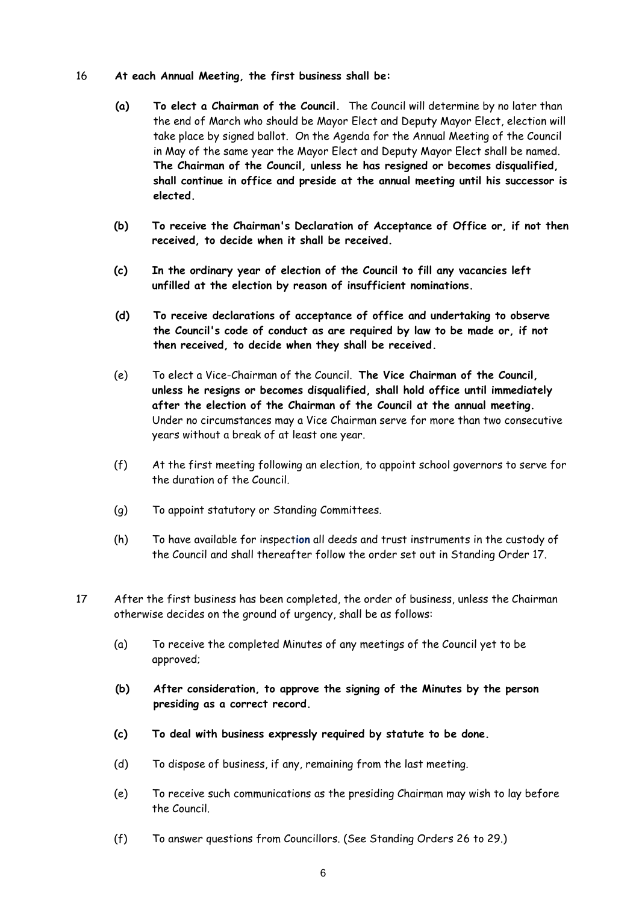#### 16 **At each Annual Meeting, the first business shall be:**

- **(a) To elect a Chairman of the Council.** The Council will determine by no later than the end of March who should be Mayor Elect and Deputy Mayor Elect, election will take place by signed ballot. On the Agenda for the Annual Meeting of the Council in May of the same year the Mayor Elect and Deputy Mayor Elect shall be named. **The Chairman of the Council, unless he has resigned or becomes disqualified, shall continue in office and preside at the annual meeting until his successor is elected.**
- **(b) To receive the Chairman's Declaration of Acceptance of Office or, if not then received, to decide when it shall be received.**
- **(c) In the ordinary year of election of the Council to fill any vacancies left unfilled at the election by reason of insufficient nominations.**
- **(d) To receive declarations of acceptance of office and undertaking to observe the Council's code of conduct as are required by law to be made or, if not then received, to decide when they shall be received.**
- (e) To elect a Vice-Chairman of the Council. **The Vice Chairman of the Council, unless he resigns or becomes disqualified, shall hold office until immediately after the election of the Chairman of the Council at the annual meeting.** Under no circumstances may a Vice Chairman serve for more than two consecutive years without a break of at least one year.
- (f) At the first meeting following an election, to appoint school governors to serve for the duration of the Council.
- (g) To appoint statutory or Standing Committees.
- (h) To have available for inspect**ion** all deeds and trust instruments in the custody of the Council and shall thereafter follow the order set out in Standing Order 17.
- 17 After the first business has been completed, the order of business, unless the Chairman otherwise decides on the ground of urgency, shall be as follows:
	- (a) To receive the completed Minutes of any meetings of the Council yet to be approved;
	- **(b) After consideration, to approve the signing of the Minutes by the person presiding as a correct record.**
	- **(c) To deal with business expressly required by statute to be done.**
	- (d) To dispose of business, if any, remaining from the last meeting.
	- (e) To receive such communications as the presiding Chairman may wish to lay before the Council.
	- (f) To answer questions from Councillors. (See Standing Orders 26 to 29.)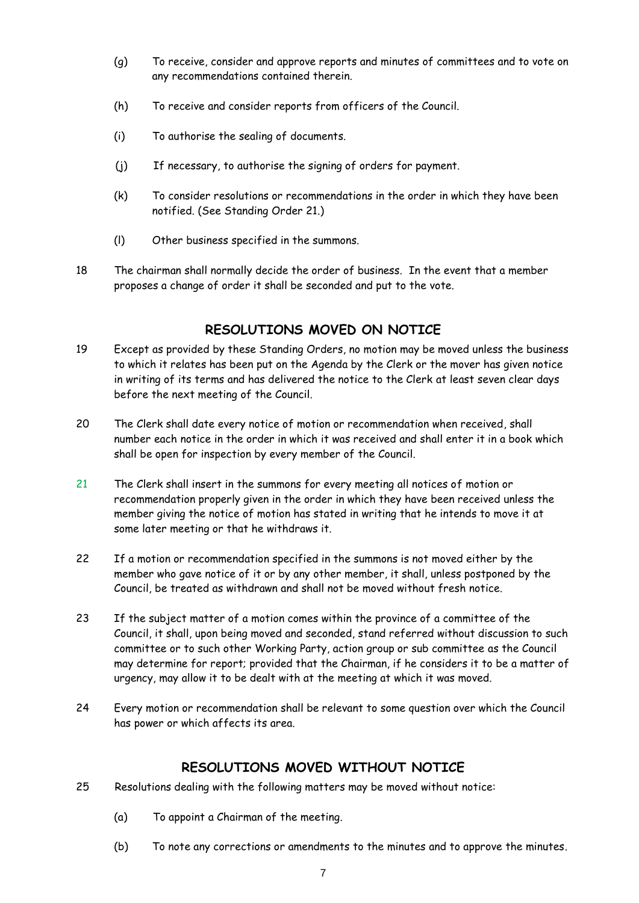- (g) To receive, consider and approve reports and minutes of committees and to vote on any recommendations contained therein.
- (h) To receive and consider reports from officers of the Council.
- (i) To authorise the sealing of documents.
- (j) If necessary, to authorise the signing of orders for payment.
- (k) To consider resolutions or recommendations in the order in which they have been notified. (See Standing Order 21.)
- (l) Other business specified in the summons.
- 18 The chairman shall normally decide the order of business. In the event that a member proposes a change of order it shall be seconded and put to the vote.

# **RESOLUTIONS MOVED ON NOTICE**

- <span id="page-6-0"></span>19 Except as provided by these Standing Orders, no motion may be moved unless the business to which it relates has been put on the Agenda by the Clerk or the mover has given notice in writing of its terms and has delivered the notice to the Clerk at least seven clear days before the next meeting of the Council.
- 20 The Clerk shall date every notice of motion or recommendation when received, shall number each notice in the order in which it was received and shall enter it in a book which shall be open for inspection by every member of the Council.
- 21 The Clerk shall insert in the summons for every meeting all notices of motion or recommendation properly given in the order in which they have been received unless the member giving the notice of motion has stated in writing that he intends to move it at some later meeting or that he withdraws it.
- 22 If a motion or recommendation specified in the summons is not moved either by the member who gave notice of it or by any other member, it shall, unless postponed by the Council, be treated as withdrawn and shall not be moved without fresh notice.
- 23 If the subject matter of a motion comes within the province of a committee of the Council, it shall, upon being moved and seconded, stand referred without discussion to such committee or to such other Working Party, action group or sub committee as the Council may determine for report; provided that the Chairman, if he considers it to be a matter of urgency, may allow it to be dealt with at the meeting at which it was moved.
- 24 Every motion or recommendation shall be relevant to some question over which the Council has power or which affects its area.

# **RESOLUTIONS MOVED WITHOUT NOTICE**

- <span id="page-6-1"></span>25 Resolutions dealing with the following matters may be moved without notice:
	- (a) To appoint a Chairman of the meeting.
	- (b) To note any corrections or amendments to the minutes and to approve the minutes.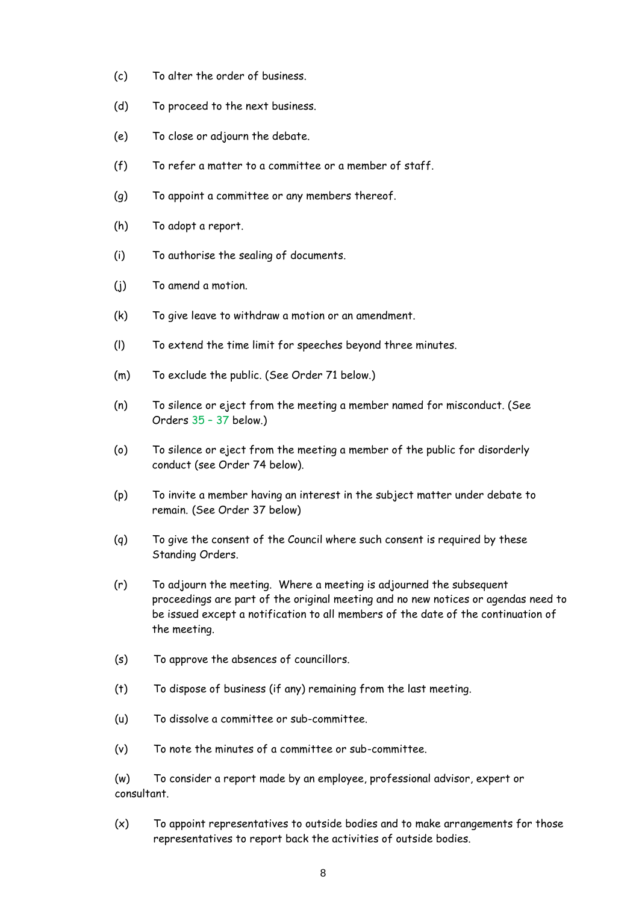- (c) To alter the order of business.
- (d) To proceed to the next business.
- (e) To close or adjourn the debate.
- (f) To refer a matter to a committee or a member of staff.
- (g) To appoint a committee or any members thereof.
- (h) To adopt a report.
- (i) To authorise the sealing of documents.
- (j) To amend a motion.
- (k) To give leave to withdraw a motion or an amendment.
- (l) To extend the time limit for speeches beyond three minutes.
- (m) To exclude the public. (See Order 71 below.)
- (n) To silence or eject from the meeting a member named for misconduct. (See Orders 35 – 37 below.)
- (o) To silence or eject from the meeting a member of the public for disorderly conduct (see Order 74 below).
- (p) To invite a member having an interest in the subject matter under debate to remain. (See Order 37 below)
- (q) To give the consent of the Council where such consent is required by these Standing Orders.
- (r) To adjourn the meeting. Where a meeting is adjourned the subsequent proceedings are part of the original meeting and no new notices or agendas need to be issued except a notification to all members of the date of the continuation of the meeting.
- (s) To approve the absences of councillors.
- (t) To dispose of business (if any) remaining from the last meeting.
- (u) To dissolve a committee or sub-committee.
- (v) To note the minutes of a committee or sub-committee.

(w) To consider a report made by an employee, professional advisor, expert or consultant.

(x) To appoint representatives to outside bodies and to make arrangements for those representatives to report back the activities of outside bodies.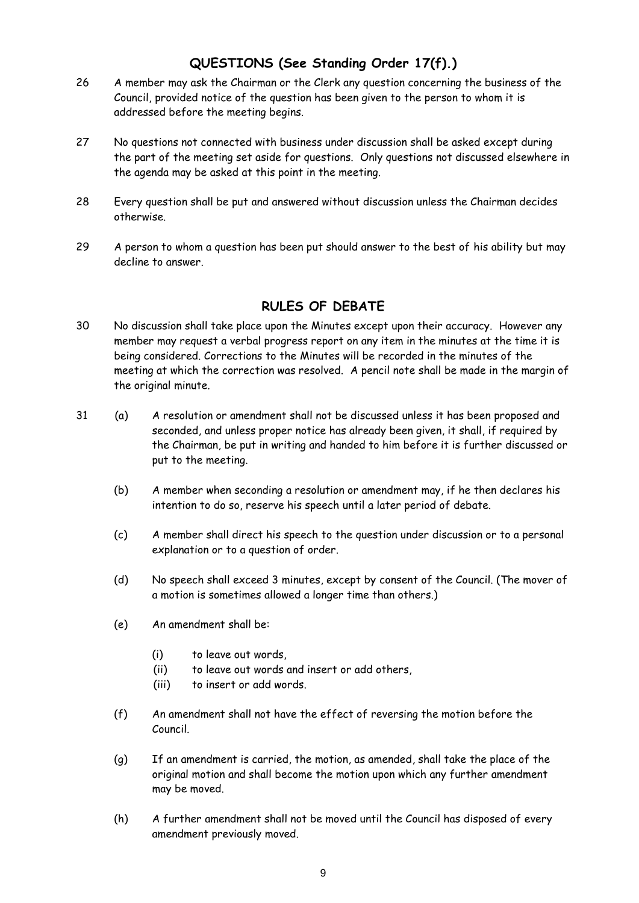# **QUESTIONS (See Standing Order 17(f).)**

- <span id="page-8-0"></span>26 A member may ask the Chairman or the Clerk any question concerning the business of the Council, provided notice of the question has been given to the person to whom it is addressed before the meeting begins.
- 27 No questions not connected with business under discussion shall be asked except during the part of the meeting set aside for questions. Only questions not discussed elsewhere in the agenda may be asked at this point in the meeting.
- 28 Every question shall be put and answered without discussion unless the Chairman decides otherwise.
- 29 A person to whom a question has been put should answer to the best of his ability but may decline to answer.

# **RULES OF DEBATE**

- <span id="page-8-1"></span>30 No discussion shall take place upon the Minutes except upon their accuracy. However any member may request a verbal progress report on any item in the minutes at the time it is being considered. Corrections to the Minutes will be recorded in the minutes of the meeting at which the correction was resolved. A pencil note shall be made in the margin of the original minute.
- 31 (a) A resolution or amendment shall not be discussed unless it has been proposed and seconded, and unless proper notice has already been given, it shall, if required by the Chairman, be put in writing and handed to him before it is further discussed or put to the meeting.
	- (b) A member when seconding a resolution or amendment may, if he then declares his intention to do so, reserve his speech until a later period of debate.
	- (c) A member shall direct his speech to the question under discussion or to a personal explanation or to a question of order.
	- (d) No speech shall exceed 3 minutes, except by consent of the Council. (The mover of a motion is sometimes allowed a longer time than others.)
	- (e) An amendment shall be:
		- (i) to leave out words,
		- (ii) to leave out words and insert or add others,
		- (iii) to insert or add words.
	- (f) An amendment shall not have the effect of reversing the motion before the Council.
	- (g) If an amendment is carried, the motion, as amended, shall take the place of the original motion and shall become the motion upon which any further amendment may be moved.
	- (h) A further amendment shall not be moved until the Council has disposed of every amendment previously moved.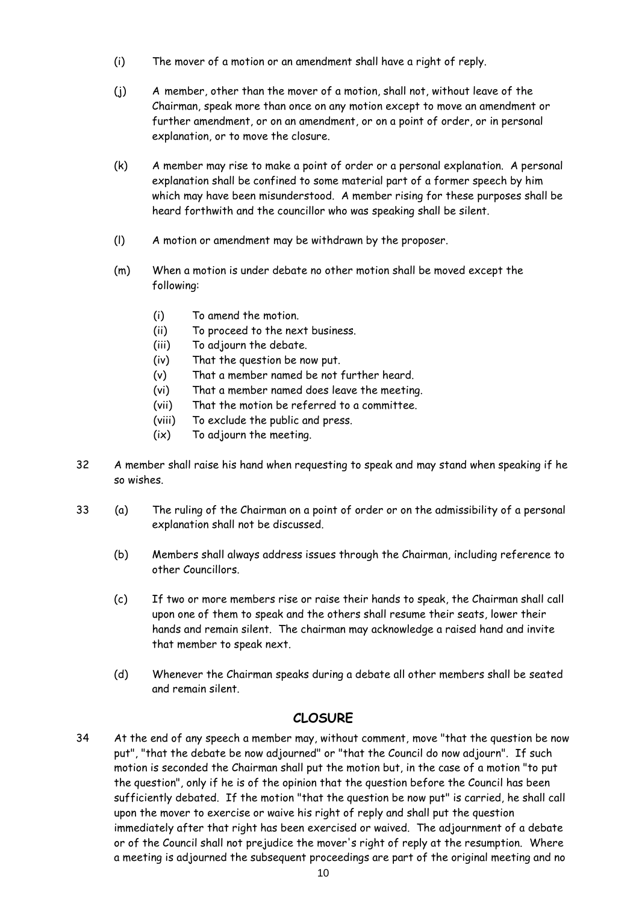- (i) The mover of a motion or an amendment shall have a right of reply.
- (j) A member, other than the mover of a motion, shall not, without leave of the Chairman, speak more than once on any motion except to move an amendment or further amendment, or on an amendment, or on a point of order, or in personal explanation, or to move the closure.
- (k) A member may rise to make a point of order or a personal explanation. A personal explanation shall be confined to some material part of a former speech by him which may have been misunderstood. A member rising for these purposes shall be heard forthwith and the councillor who was speaking shall be silent.
- (l) A motion or amendment may be withdrawn by the proposer.
- (m) When a motion is under debate no other motion shall be moved except the following:
	- (i) To amend the motion.
	- (ii) To proceed to the next business.
	- (iii) To adjourn the debate.
	- (iv) That the question be now put.
	- (v) That a member named be not further heard.
	- (vi) That a member named does leave the meeting.
	- (vii) That the motion be referred to a committee.
	- (viii) To exclude the public and press.
	- (ix) To adjourn the meeting.
- 32 A member shall raise his hand when requesting to speak and may stand when speaking if he so wishes.
- 33 (a) The ruling of the Chairman on a point of order or on the admissibility of a personal explanation shall not be discussed.
	- (b) Members shall always address issues through the Chairman, including reference to other Councillors.
	- (c) If two or more members rise or raise their hands to speak, the Chairman shall call upon one of them to speak and the others shall resume their seats, lower their hands and remain silent. The chairman may acknowledge a raised hand and invite that member to speak next.
	- (d) Whenever the Chairman speaks during a debate all other members shall be seated and remain silent.

# **CLOSURE**

<span id="page-9-0"></span>34 At the end of any speech a member may, without comment, move "that the question be now put", "that the debate be now adjourned" or "that the Council do now adjourn". If such motion is seconded the Chairman shall put the motion but, in the case of a motion "to put the question", only if he is of the opinion that the question before the Council has been sufficiently debated. If the motion "that the question be now put" is carried, he shall call upon the mover to exercise or waive his right of reply and shall put the question immediately after that right has been exercised or waived. The adjournment of a debate or of the Council shall not prejudice the mover's right of reply at the resumption. Where a meeting is adjourned the subsequent proceedings are part of the original meeting and no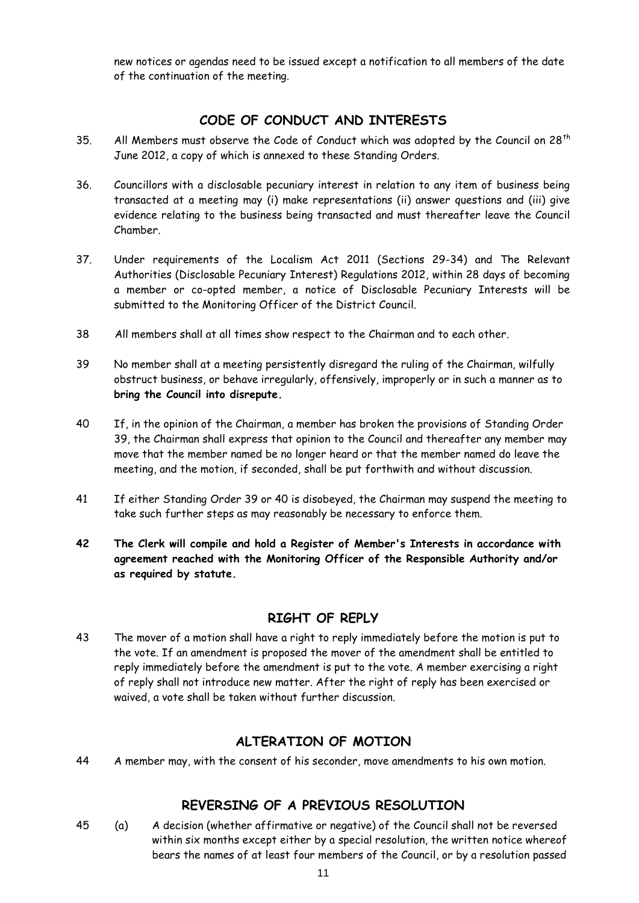new notices or agendas need to be issued except a notification to all members of the date of the continuation of the meeting.

# **CODE OF CONDUCT AND INTERESTS**

- <span id="page-10-0"></span>35. All Members must observe the Code of Conduct which was adopted by the Council on  $28<sup>th</sup>$ June 2012, a copy of which is annexed to these Standing Orders.
- 36. Councillors with a disclosable pecuniary interest in relation to any item of business being transacted at a meeting may (i) make representations (ii) answer questions and (iii) give evidence relating to the business being transacted and must thereafter leave the Council Chamber.
- 37. Under requirements of the Localism Act 2011 (Sections 29-34) and The Relevant Authorities (Disclosable Pecuniary Interest) Regulations 2012, within 28 days of becoming a member or co-opted member, a notice of Disclosable Pecuniary Interests will be submitted to the Monitoring Officer of the District Council.
- 38 All members shall at all times show respect to the Chairman and to each other.
- 39 No member shall at a meeting persistently disregard the ruling of the Chairman, wilfully obstruct business, or behave irregularly, offensively, improperly or in such a manner as to **bring the Council into disrepute.**
- 40 If, in the opinion of the Chairman, a member has broken the provisions of Standing Order 39, the Chairman shall express that opinion to the Council and thereafter any member may move that the member named be no longer heard or that the member named do leave the meeting, and the motion, if seconded, shall be put forthwith and without discussion.
- 41 If either Standing Order 39 or 40 is disobeyed, the Chairman may suspend the meeting to take such further steps as may reasonably be necessary to enforce them.
- **42 The Clerk will compile and hold a Register of Member's Interests in accordance with agreement reached with the Monitoring Officer of the Responsible Authority and/or as required by statute.**

#### **RIGHT OF REPLY**

<span id="page-10-1"></span>43 The mover of a motion shall have a right to reply immediately before the motion is put to the vote. If an amendment is proposed the mover of the amendment shall be entitled to reply immediately before the amendment is put to the vote. A member exercising a right of reply shall not introduce new matter. After the right of reply has been exercised or waived, a vote shall be taken without further discussion.

# **ALTERATION OF MOTION**

<span id="page-10-3"></span><span id="page-10-2"></span>44 A member may, with the consent of his seconder, move amendments to his own motion.

# **REVERSING OF A PREVIOUS RESOLUTION**

45 (a) A decision (whether affirmative or negative) of the Council shall not be reversed within six months except either by a special resolution, the written notice whereof bears the names of at least four members of the Council, or by a resolution passed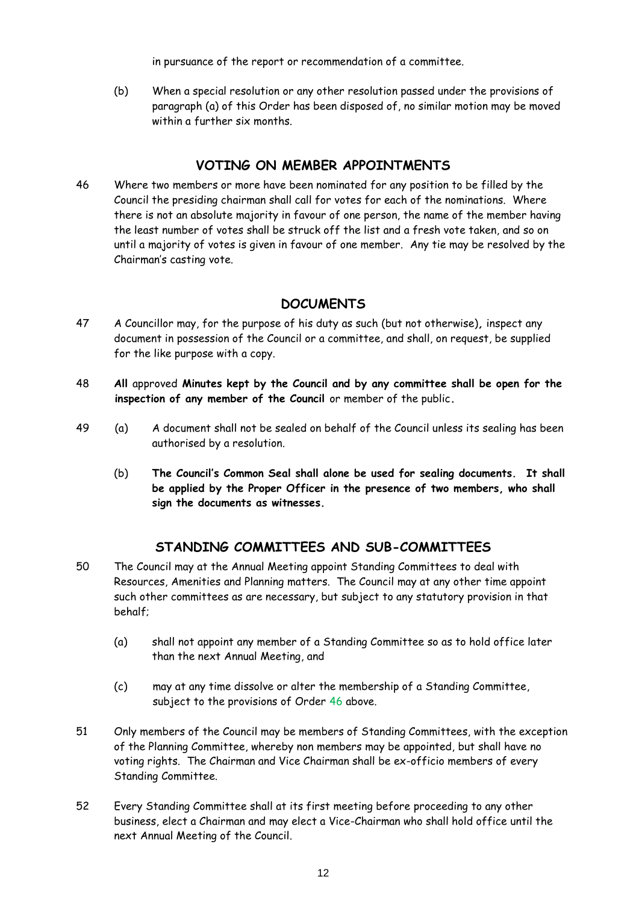in pursuance of the report or recommendation of a committee.

(b) When a special resolution or any other resolution passed under the provisions of paragraph (a) of this Order has been disposed of, no similar motion may be moved within a further six months.

### **VOTING ON MEMBER APPOINTMENTS**

<span id="page-11-0"></span>46 Where two members or more have been nominated for any position to be filled by the Council the presiding chairman shall call for votes for each of the nominations. Where there is not an absolute majority in favour of one person, the name of the member having the least number of votes shall be struck off the list and a fresh vote taken, and so on until a majority of votes is given in favour of one member. Any tie may be resolved by the Chairman's casting vote.

### **DOCUMENTS**

- <span id="page-11-1"></span>47 A Councillor may, for the purpose of his duty as such (but not otherwise)*,* inspect any document in possession of the Council or a committee, and shall, on request, be supplied for the like purpose with a copy.
- 48 **All** approved **Minutes kept by the Council and by any committee shall be open for the inspection of any member of the Council** or member of the public**.**
- 49 (a) A document shall not be sealed on behalf of the Council unless its sealing has been authorised by a resolution.
	- (b) **The Council's Common Seal shall alone be used for sealing documents. It shall be applied by the Proper Officer in the presence of two members, who shall sign the documents as witnesses.**

# **STANDING COMMITTEES AND SUB-COMMITTEES**

- <span id="page-11-2"></span>50 The Council may at the Annual Meeting appoint Standing Committees to deal with Resources, Amenities and Planning matters. The Council may at any other time appoint such other committees as are necessary, but subject to any statutory provision in that behalf;
	- (a) shall not appoint any member of a Standing Committee so as to hold office later than the next Annual Meeting, and
	- (c) may at any time dissolve or alter the membership of a Standing Committee, subject to the provisions of Order 46 above.
- 51 Only members of the Council may be members of Standing Committees, with the exception of the Planning Committee, whereby non members may be appointed, but shall have no voting rights. The Chairman and Vice Chairman shall be ex-officio members of every Standing Committee.
- 52 Every Standing Committee shall at its first meeting before proceeding to any other business, elect a Chairman and may elect a Vice-Chairman who shall hold office until the next Annual Meeting of the Council.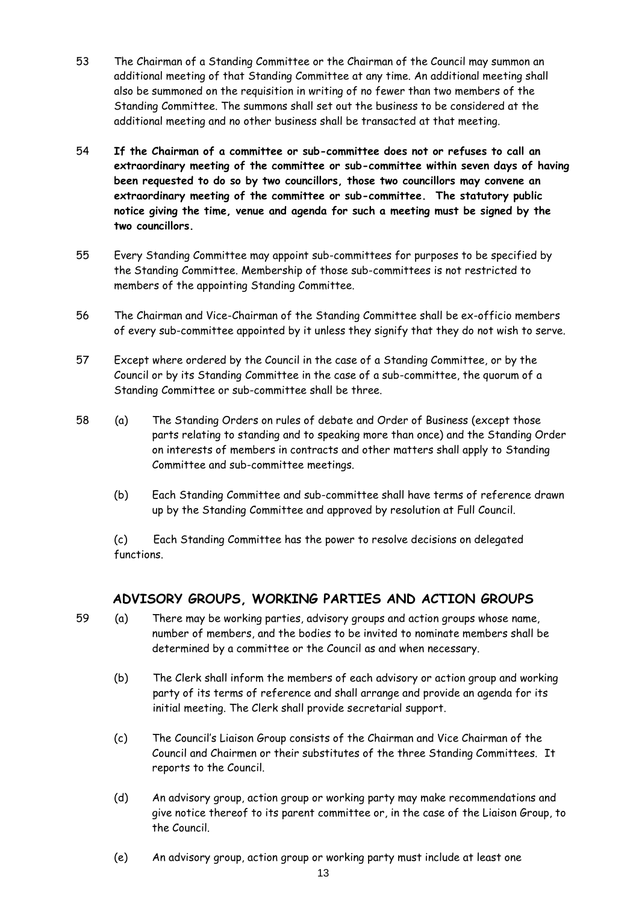- 53 The Chairman of a Standing Committee or the Chairman of the Council may summon an additional meeting of that Standing Committee at any time. An additional meeting shall also be summoned on the requisition in writing of no fewer than two members of the Standing Committee. The summons shall set out the business to be considered at the additional meeting and no other business shall be transacted at that meeting.
- 54 **If the Chairman of a committee or sub-committee does not or refuses to call an extraordinary meeting of the committee or sub-committee within seven days of having been requested to do so by two councillors, those two councillors may convene an extraordinary meeting of the committee or sub-committee. The statutory public notice giving the time, venue and agenda for such a meeting must be signed by the two councillors.**
- 55 Every Standing Committee may appoint sub-committees for purposes to be specified by the Standing Committee. Membership of those sub-committees is not restricted to members of the appointing Standing Committee.
- 56 The Chairman and Vice-Chairman of the Standing Committee shall be ex-officio members of every sub-committee appointed by it unless they signify that they do not wish to serve.
- 57 Except where ordered by the Council in the case of a Standing Committee, or by the Council or by its Standing Committee in the case of a sub-committee, the quorum of a Standing Committee or sub-committee shall be three.
- 58 (a) The Standing Orders on rules of debate and Order of Business (except those parts relating to standing and to speaking more than once) and the Standing Order on interests of members in contracts and other matters shall apply to Standing Committee and sub-committee meetings.
	- (b) Each Standing Committee and sub-committee shall have terms of reference drawn up by the Standing Committee and approved by resolution at Full Council.

(c) Each Standing Committee has the power to resolve decisions on delegated functions.

# **ADVISORY GROUPS, WORKING PARTIES AND ACTION GROUPS**

- <span id="page-12-0"></span>59 (a) There may be working parties, advisory groups and action groups whose name, number of members, and the bodies to be invited to nominate members shall be determined by a committee or the Council as and when necessary.
	- (b) The Clerk shall inform the members of each advisory or action group and working party of its terms of reference and shall arrange and provide an agenda for its initial meeting. The Clerk shall provide secretarial support.
	- (c) The Council's Liaison Group consists of the Chairman and Vice Chairman of the Council and Chairmen or their substitutes of the three Standing Committees. It reports to the Council.
	- (d) An advisory group, action group or working party may make recommendations and give notice thereof to its parent committee or, in the case of the Liaison Group, to the Council.
	- (e) An advisory group, action group or working party must include at least one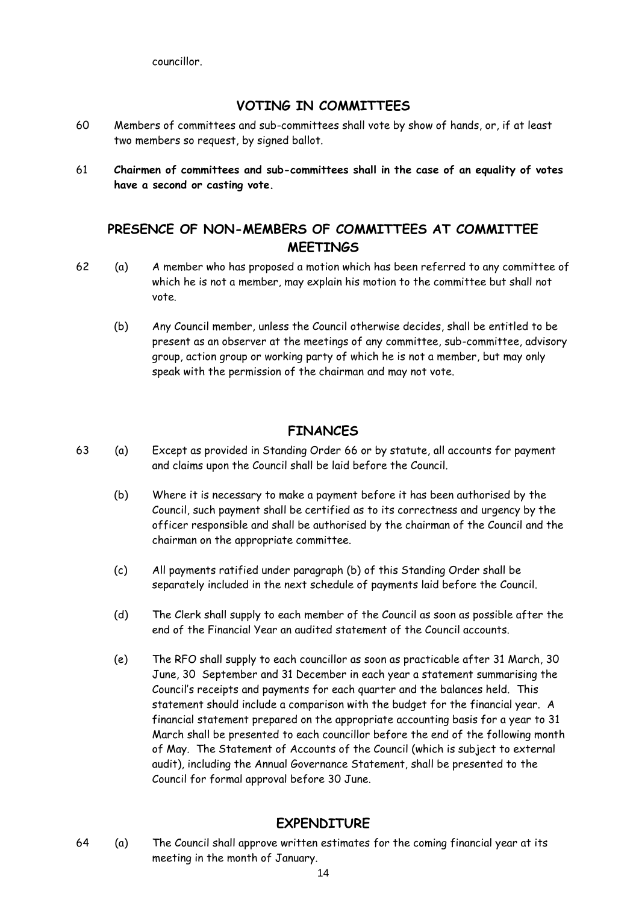councillor.

## **VOTING IN COMMITTEES**

- <span id="page-13-0"></span>60 Members of committees and sub-committees shall vote by show of hands, or, if at least two members so request, by signed ballot.
- 61 **Chairmen of committees and sub-committees shall in the case of an equality of votes have a second or casting vote.**

# <span id="page-13-1"></span>**PRESENCE OF NON-MEMBERS OF COMMITTEES AT COMMITTEE MEETINGS**

- 62 (a) A member who has proposed a motion which has been referred to any committee of which he is not a member, may explain his motion to the committee but shall not vote.
	- (b) Any Council member, unless the Council otherwise decides, shall be entitled to be present as an observer at the meetings of any committee, sub-committee, advisory group, action group or working party of which he is not a member, but may only speak with the permission of the chairman and may not vote.

### **FINANCES**

- <span id="page-13-2"></span>63 (a) Except as provided in Standing Order 66 or by statute, all accounts for payment and claims upon the Council shall be laid before the Council.
	- (b) Where it is necessary to make a payment before it has been authorised by the Council, such payment shall be certified as to its correctness and urgency by the officer responsible and shall be authorised by the chairman of the Council and the chairman on the appropriate committee.
	- (c) All payments ratified under paragraph (b) of this Standing Order shall be separately included in the next schedule of payments laid before the Council.
	- (d) The Clerk shall supply to each member of the Council as soon as possible after the end of the Financial Year an audited statement of the Council accounts.
	- (e) The RFO shall supply to each councillor as soon as practicable after 31 March, 30 June, 30 September and 31 December in each year a statement summarising the Council's receipts and payments for each quarter and the balances held. This statement should include a comparison with the budget for the financial year. A financial statement prepared on the appropriate accounting basis for a year to 31 March shall be presented to each councillor before the end of the following month of May. The Statement of Accounts of the Council (which is subject to external audit), including the Annual Governance Statement, shall be presented to the Council for formal approval before 30 June.

# **EXPENDITURE**

<span id="page-13-3"></span>64 (a) The Council shall approve written estimates for the coming financial year at its meeting in the month of January.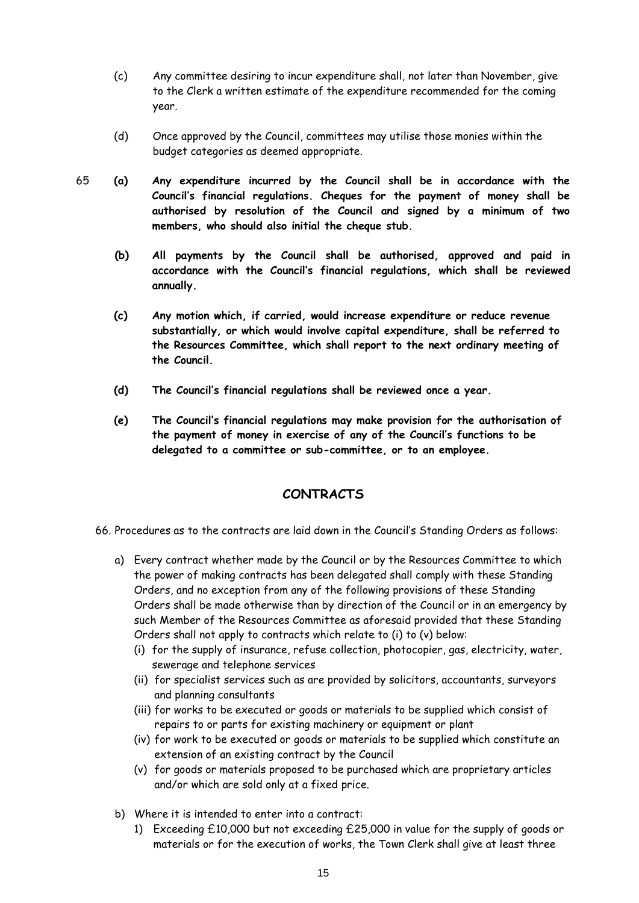- (c) Any committee desiring to incur expenditure shall, not later than November, give to the Clerk a written estimate of the expenditure recommended for the coming year.
- (d) Once approved by the Council, committees may utilise those monies within the budget categories as deemed appropriate.
- 65 **(a) Any expenditure incurred by the Council shall be in accordance with the Council's financial regulations. Cheques for the payment of money shall be authorised by resolution of the Council and signed by a minimum of two members, who should also initial the cheque stub.**
	- **(b) All payments by the Council shall be authorised, approved and paid in accordance with the Council's financial regulations, which shall be reviewed annually.**
	- **(c) Any motion which, if carried, would increase expenditure or reduce revenue substantially, or which would involve capital expenditure, shall be referred to the Resources Committee, which shall report to the next ordinary meeting of the Council.**
	- **(d) The Council's financial regulations shall be reviewed once a year.**
	- **(e) The Council's financial regulations may make provision for the authorisation of the payment of money in exercise of any of the Council's functions to be delegated to a committee or sub-committee, or to an employee.**

#### **CONTRACTS**

<span id="page-14-0"></span>66. Procedures as to the contracts are laid down in the Council's Standing Orders as follows:

- a) Every contract whether made by the Council or by the Resources Committee to which the power of making contracts has been delegated shall comply with these Standing Orders, and no exception from any of the following provisions of these Standing Orders shall be made otherwise than by direction of the Council or in an emergency by such Member of the Resources Committee as aforesaid provided that these Standing Orders shall not apply to contracts which relate to (i) to (v) below:
	- (i) for the supply of insurance, refuse collection, photocopier, gas, electricity, water, sewerage and telephone services
	- (ii) for specialist services such as are provided by solicitors, accountants, surveyors and planning consultants
	- (iii) for works to be executed or goods or materials to be supplied which consist of repairs to or parts for existing machinery or equipment or plant
	- (iv) for work to be executed or goods or materials to be supplied which constitute an extension of an existing contract by the Council
	- (v) for goods or materials proposed to be purchased which are proprietary articles and/or which are sold only at a fixed price.
- b) Where it is intended to enter into a contract:
	- 1) Exceeding £10,000 but not exceeding £25,000 in value for the supply of goods or materials or for the execution of works, the Town Clerk shall give at least three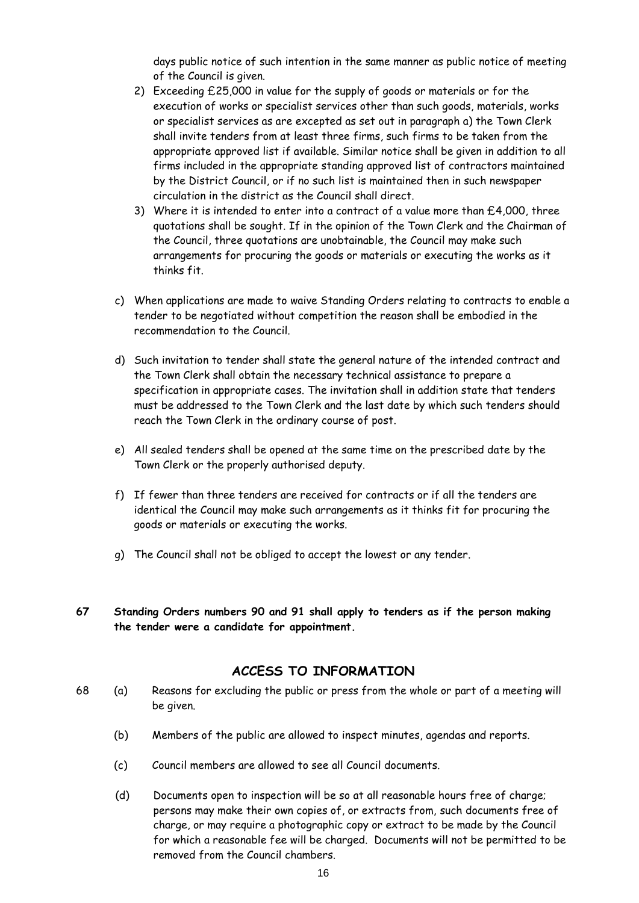days public notice of such intention in the same manner as public notice of meeting of the Council is given.

- 2) Exceeding £25,000 in value for the supply of goods or materials or for the execution of works or specialist services other than such goods, materials, works or specialist services as are excepted as set out in paragraph a) the Town Clerk shall invite tenders from at least three firms, such firms to be taken from the appropriate approved list if available. Similar notice shall be given in addition to all firms included in the appropriate standing approved list of contractors maintained by the District Council, or if no such list is maintained then in such newspaper circulation in the district as the Council shall direct.
- 3) Where it is intended to enter into a contract of a value more than £4,000, three quotations shall be sought. If in the opinion of the Town Clerk and the Chairman of the Council, three quotations are unobtainable, the Council may make such arrangements for procuring the goods or materials or executing the works as it thinks fit.
- c) When applications are made to waive Standing Orders relating to contracts to enable a tender to be negotiated without competition the reason shall be embodied in the recommendation to the Council.
- d) Such invitation to tender shall state the general nature of the intended contract and the Town Clerk shall obtain the necessary technical assistance to prepare a specification in appropriate cases. The invitation shall in addition state that tenders must be addressed to the Town Clerk and the last date by which such tenders should reach the Town Clerk in the ordinary course of post.
- e) All sealed tenders shall be opened at the same time on the prescribed date by the Town Clerk or the properly authorised deputy.
- f) If fewer than three tenders are received for contracts or if all the tenders are identical the Council may make such arrangements as it thinks fit for procuring the goods or materials or executing the works.
- g) The Council shall not be obliged to accept the lowest or any tender.
- **67 Standing Orders numbers 90 and 91 shall apply to tenders as if the person making the tender were a candidate for appointment.**

#### **ACCESS TO INFORMATION**

- <span id="page-15-0"></span>68 (a) Reasons for excluding the public or press from the whole or part of a meeting will be given.
	- (b) Members of the public are allowed to inspect minutes, agendas and reports.
	- (c) Council members are allowed to see all Council documents.
	- (d) Documents open to inspection will be so at all reasonable hours free of charge; persons may make their own copies of, or extracts from, such documents free of charge, or may require a photographic copy or extract to be made by the Council for which a reasonable fee will be charged. Documents will not be permitted to be removed from the Council chambers.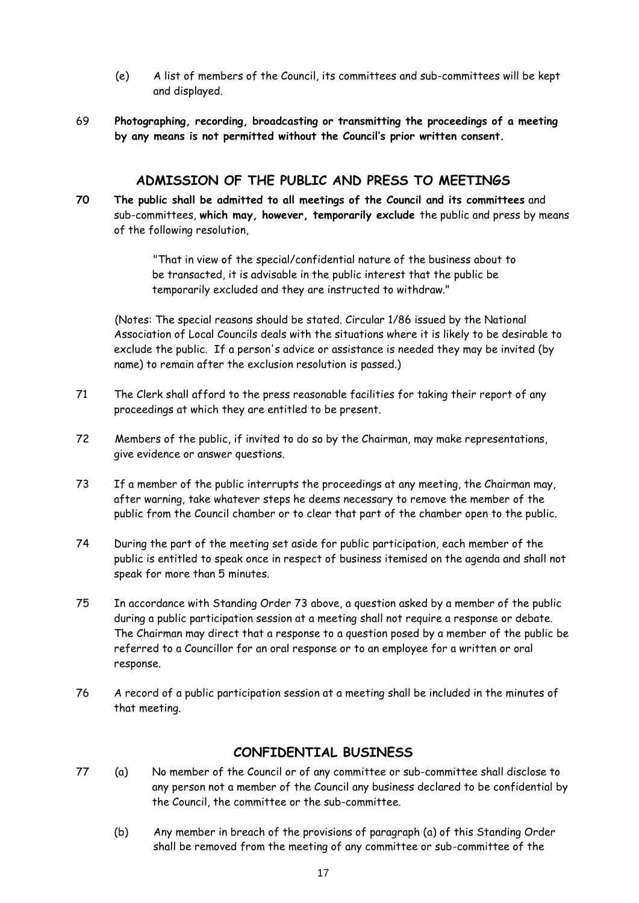- (e) A list of members of the Council, its committees and sub-committees will be kept and displayed.
- 69 **Photographing, recording, broadcasting or transmitting the proceedings of a meeting by any means is not permitted without the Council's prior written consent.**

#### **ADMISSION OF THE PUBLIC AND PRESS TO MEETINGS**

<span id="page-16-0"></span>**70 The public shall be admitted to all meetings of the Council and its committees** and sub-committees, **which may, however, temporarily exclude** the public and press by means of the following resolution,

> "That in view of the special/confidential nature of the business about to be transacted, it is advisable in the public interest that the public be temporarily excluded and they are instructed to withdraw."

(Notes: The special reasons should be stated. Circular 1/86 issued by the National Association of Local Councils deals with the situations where it is likely to be desirable to exclude the public. If a person's advice or assistance is needed they may be invited (by name) to remain after the exclusion resolution is passed.)

- 71 The Clerk shall afford to the press reasonable facilities for taking their report of any proceedings at which they are entitled to be present.
- 72 Members of the public, if invited to do so by the Chairman, may make representations, give evidence or answer questions.
- 73 If a member of the public interrupts the proceedings at any meeting, the Chairman may, after warning, take whatever steps he deems necessary to remove the member of the public from the Council chamber or to clear that part of the chamber open to the public.
- 74 During the part of the meeting set aside for public participation, each member of the public is entitled to speak once in respect of business itemised on the agenda and shall not speak for more than 5 minutes.
- 75 In accordance with Standing Order 73 above, a question asked by a member of the public during a public participation session at a meeting shall not require a response or debate. The Chairman may direct that a response to a question posed by a member of the public be referred to a Councillor for an oral response or to an employee for a written or oral response.
- 76 A record of a public participation session at a meeting shall be included in the minutes of that meeting.

# **CONFIDENTIAL BUSINESS**

- <span id="page-16-1"></span>77 (a) No member of the Council or of any committee or sub-committee shall disclose to any person not a member of the Council any business declared to be confidential by the Council, the committee or the sub-committee.
	- (b) Any member in breach of the provisions of paragraph (a) of this Standing Order shall be removed from the meeting of any committee or sub-committee of the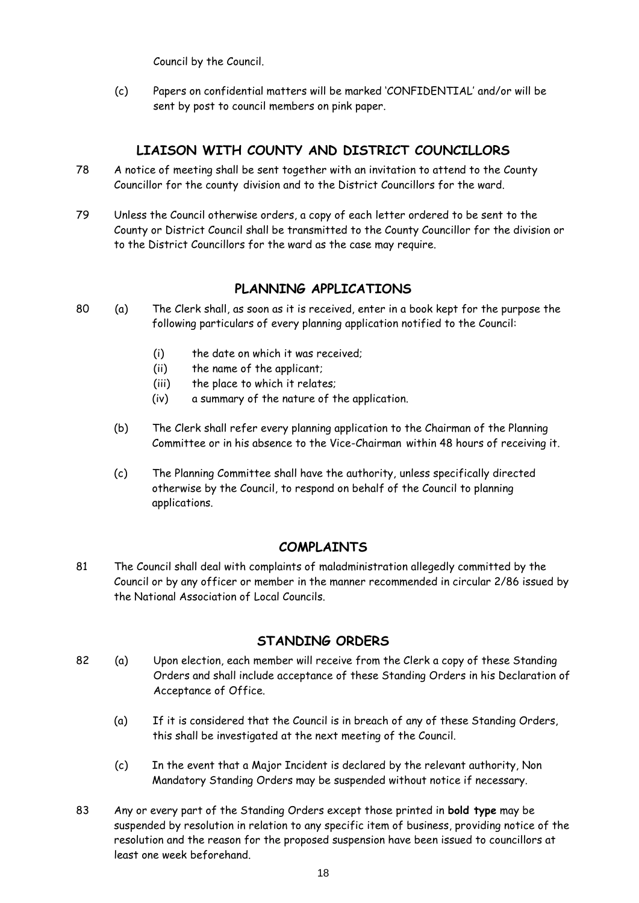Council by the Council.

(c) Papers on confidential matters will be marked 'CONFIDENTIAL' and/or will be sent by post to council members on pink paper.

# **LIAISON WITH COUNTY AND DISTRICT COUNCILLORS**

- <span id="page-17-0"></span>78 A notice of meeting shall be sent together with an invitation to attend to the County Councillor for the county division and to the District Councillors for the ward.
- 79 Unless the Council otherwise orders, a copy of each letter ordered to be sent to the County or District Council shall be transmitted to the County Councillor for the division or to the District Councillors for the ward as the case may require.

# **PLANNING APPLICATIONS**

- <span id="page-17-1"></span>80 (a) The Clerk shall, as soon as it is received, enter in a book kept for the purpose the following particulars of every planning application notified to the Council:
	- (i) the date on which it was received;
	- (ii) the name of the applicant;
	- (iii) the place to which it relates;
	- (iv) a summary of the nature of the application.
	- (b) The Clerk shall refer every planning application to the Chairman of the Planning Committee or in his absence to the Vice-Chairman within 48 hours of receiving it.
	- (c) The Planning Committee shall have the authority, unless specifically directed otherwise by the Council, to respond on behalf of the Council to planning applications.

# **COMPLAINTS**

<span id="page-17-2"></span>81 The Council shall deal with complaints of maladministration allegedly committed by the Council or by any officer or member in the manner recommended in circular 2/86 issued by the National Association of Local Councils.

# **STANDING ORDERS**

- <span id="page-17-3"></span>82 (a) Upon election, each member will receive from the Clerk a copy of these Standing Orders and shall include acceptance of these Standing Orders in his Declaration of Acceptance of Office.
	- (a) If it is considered that the Council is in breach of any of these Standing Orders, this shall be investigated at the next meeting of the Council.
	- (c) In the event that a Major Incident is declared by the relevant authority, Non Mandatory Standing Orders may be suspended without notice if necessary.
- 83 Any or every part of the Standing Orders except those printed in **bold type** may be suspended by resolution in relation to any specific item of business, providing notice of the resolution and the reason for the proposed suspension have been issued to councillors at least one week beforehand.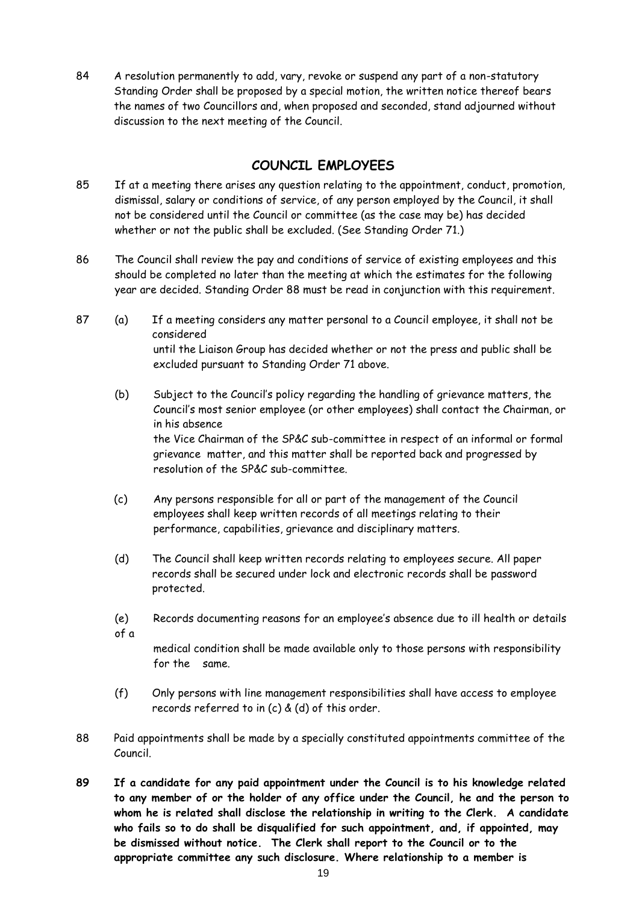84 A resolution permanently to add, vary, revoke or suspend any part of a non-statutory Standing Order shall be proposed by a special motion, the written notice thereof bears the names of two Councillors and, when proposed and seconded, stand adjourned without discussion to the next meeting of the Council.

## **COUNCIL EMPLOYEES**

- <span id="page-18-0"></span>85 If at a meeting there arises any question relating to the appointment, conduct, promotion, dismissal, salary or conditions of service, of any person employed by the Council, it shall not be considered until the Council or committee (as the case may be) has decided whether or not the public shall be excluded. (See Standing Order 71.)
- 86 The Council shall review the pay and conditions of service of existing employees and this should be completed no later than the meeting at which the estimates for the following year are decided. Standing Order 88 must be read in conjunction with this requirement.
- 87 (a) If a meeting considers any matter personal to a Council employee, it shall not be considered until the Liaison Group has decided whether or not the press and public shall be excluded pursuant to Standing Order 71 above.
	- (b) Subject to the Council's policy regarding the handling of grievance matters, the Council's most senior employee (or other employees) shall contact the Chairman, or in his absence the Vice Chairman of the SP&C sub-committee in respect of an informal or formal grievance matter, and this matter shall be reported back and progressed by resolution of the SP&C sub-committee.
	- (c) Any persons responsible for all or part of the management of the Council employees shall keep written records of all meetings relating to their performance, capabilities, grievance and disciplinary matters.
	- (d) The Council shall keep written records relating to employees secure. All paper records shall be secured under lock and electronic records shall be password protected.
	- (e) Records documenting reasons for an employee's absence due to ill health or details of a

medical condition shall be made available only to those persons with responsibility for the same.

- (f) Only persons with line management responsibilities shall have access to employee records referred to in (c) & (d) of this order.
- 88 Paid appointments shall be made by a specially constituted appointments committee of the Council.
- **89 If a candidate for any paid appointment under the Council is to his knowledge related to any member of or the holder of any office under the Council, he and the person to whom he is related shall disclose the relationship in writing to the Clerk. A candidate who fails so to do shall be disqualified for such appointment, and, if appointed, may be dismissed without notice. The Clerk shall report to the Council or to the appropriate committee any such disclosure. Where relationship to a member is**